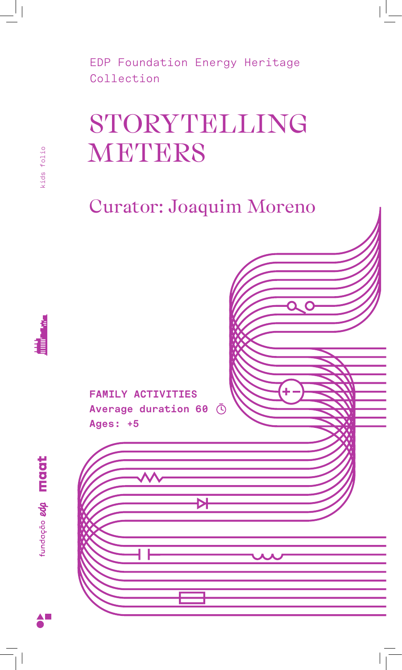# STORYTELLING **METERS**

Curator: Joaquim Moreno



**FAMILY ACTIVITIES Average duration 60**  $\bar{\odot}$ 



| Ages: +5 |  |  |
|----------|--|--|
|          |  |  |
|          |  |  |
|          |  |  |
|          |  |  |
|          |  |  |
|          |  |  |
|          |  |  |
|          |  |  |
|          |  |  |
|          |  |  |
|          |  |  |
|          |  |  |
|          |  |  |
|          |  |  |
|          |  |  |
|          |  |  |
|          |  |  |
|          |  |  |
|          |  |  |
|          |  |  |
|          |  |  |
|          |  |  |
|          |  |  |

kids folio kids folio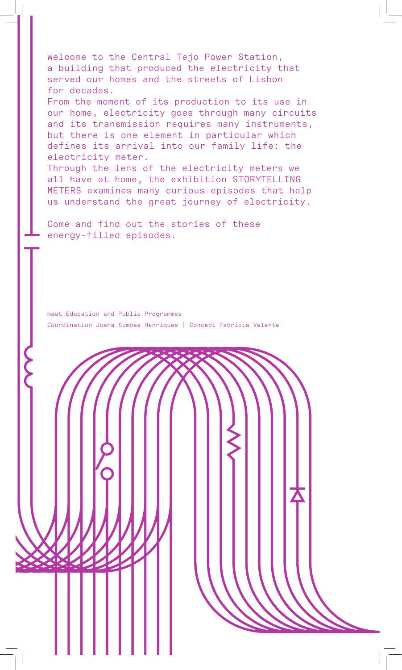Welcome to the Central Tejo Power Station, a building that produced the electricity that served our homes and the streets of Lisbon for decades. From the moment of its production to its use in our home, electricity goes through many circuits and its transmission requires many instruments, but there is one element in particular which defines its arrival into our family life: the electricity meter. Through the lens of the electricity meters we all have at home, the exhibition STORYTELLING METERS examines many curious episodes that help

us understand the great journey of electricity.

Come and find out the stories of these energy-filled episodes.

maat Education and Public Programmes Coordination Joana Simões Henriques | Concept Fabrícia Valente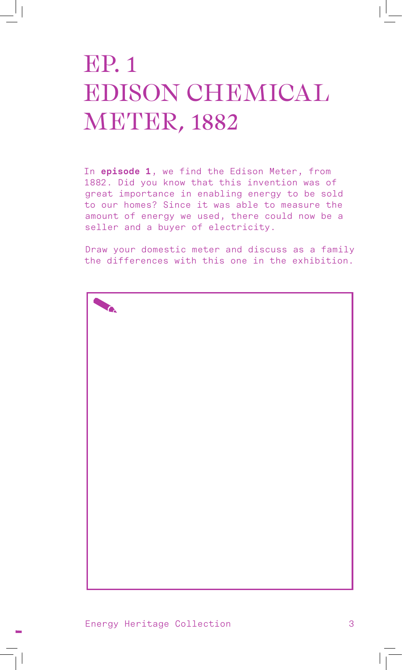## EP. 1 EDISON CHEMICAL METER, 1882

In **episode 1**, we find the Edison Meter, from 1882. Did you know that this invention was of great importance in enabling energy to be sold to our homes? Since it was able to measure the amount of energy we used, there could now be a seller and a buyer of electricity.

Draw your domestic meter and discuss as a family the differences with this one in the exhibition.



Energy Heritage Collection 3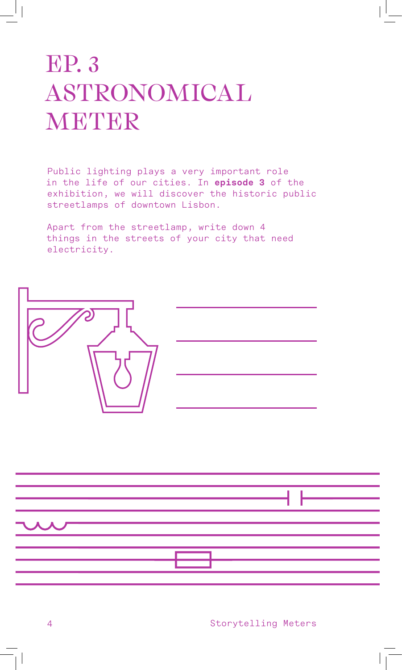# EP. 3 ASTRONOMICAL METER

Public lighting plays a very important role in the life of our cities. In **episode 3** of the exhibition, we will discover the historic public streetlamps of downtown Lisbon.

Apart from the streetlamp, write down 4 things in the streets of your city that need electricity.



|                          |  | $\overline{\phantom{a}}$ and $\overline{\phantom{a}}$ and $\overline{\phantom{a}}$ and $\overline{\phantom{a}}$ and $\overline{\phantom{a}}$ and $\overline{\phantom{a}}$ and $\overline{\phantom{a}}$ and $\overline{\phantom{a}}$ and $\overline{\phantom{a}}$ and $\overline{\phantom{a}}$ and $\overline{\phantom{a}}$ and $\overline{\phantom{a}}$ and $\overline{\phantom{a}}$ and $\overline{\phantom{a}}$ a |
|--------------------------|--|---------------------------------------------------------------------------------------------------------------------------------------------------------------------------------------------------------------------------------------------------------------------------------------------------------------------------------------------------------------------------------------------------------------------|
|                          |  |                                                                                                                                                                                                                                                                                                                                                                                                                     |
|                          |  |                                                                                                                                                                                                                                                                                                                                                                                                                     |
| $\overline{\phantom{a}}$ |  |                                                                                                                                                                                                                                                                                                                                                                                                                     |
|                          |  |                                                                                                                                                                                                                                                                                                                                                                                                                     |
|                          |  |                                                                                                                                                                                                                                                                                                                                                                                                                     |
|                          |  |                                                                                                                                                                                                                                                                                                                                                                                                                     |
|                          |  |                                                                                                                                                                                                                                                                                                                                                                                                                     |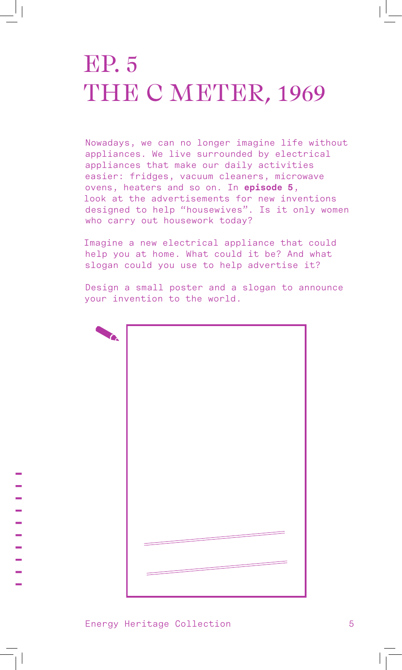#### EP. 5 THE C METER, 1969

Nowadays, we can no longer imagine life without appliances. We live surrounded by electrical appliances that make our daily activities easier: fridges, vacuum cleaners, microwave ovens, heaters and so on. In **episode 5**, look at the advertisements for new inventions designed to help "housewives". Is it only women who carry out housework today?

Imagine a new electrical appliance that could help you at home. What could it be? And what slogan could you use to help advertise it?

Design a small poster and a slogan to announce your invention to the world.

| <b>ANG.</b> |  |
|-------------|--|
|             |  |
|             |  |
|             |  |
|             |  |
|             |  |
|             |  |
|             |  |
|             |  |
|             |  |
|             |  |
|             |  |
|             |  |
|             |  |
|             |  |
|             |  |
|             |  |
|             |  |
|             |  |
|             |  |
|             |  |
|             |  |
|             |  |
|             |  |
|             |  |
|             |  |
|             |  |
|             |  |
|             |  |
|             |  |
|             |  |
|             |  |
|             |  |
|             |  |
|             |  |
|             |  |
|             |  |
|             |  |
|             |  |
|             |  |
|             |  |
|             |  |
|             |  |
|             |  |
|             |  |
|             |  |
|             |  |
|             |  |
|             |  |
|             |  |
|             |  |
|             |  |
|             |  |

Energy Heritage Collection 5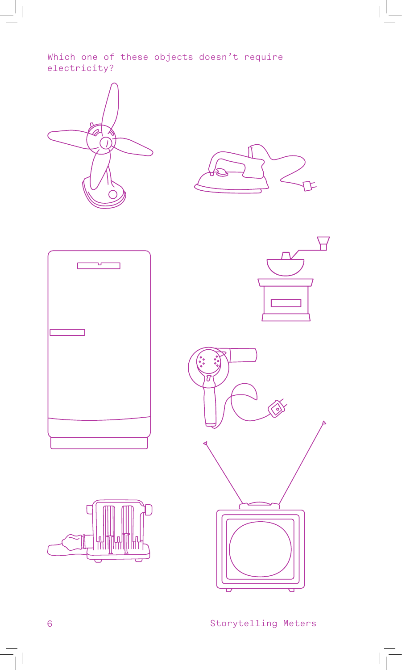Which one of these objects doesn't require electricity?











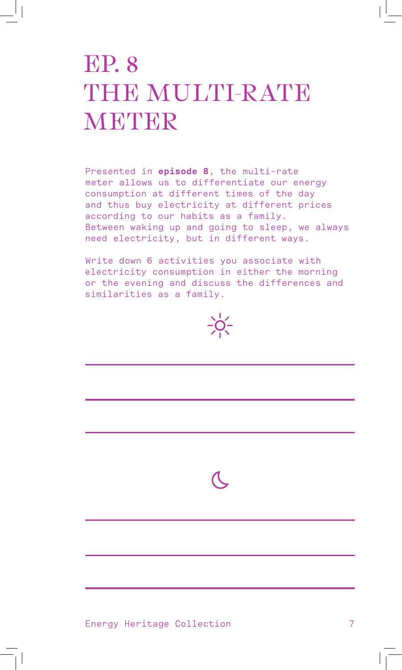## EP. 8 THE MULTI-RATE METER

Presented in **episode 8**, the multi-rate meter allows us to differentiate our energy consumption at different times of the day and thus buy electricity at different prices according to our habits as a family. Between waking up and going to sleep, we always need electricity, but in different ways.

Write down 6 activities you associate with electricity consumption in either the morning or the evening and discuss the differences and similarities as a family.